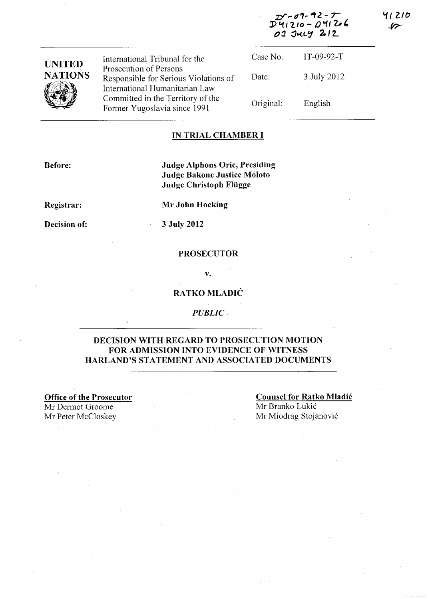| $25 - 09 - 92 - 7$ |  |  |  |  |
|--------------------|--|--|--|--|
| $D41210 - D41206$  |  |  |  |  |
| 03 July 212        |  |  |  |  |

| <b>UNITED</b>        | International Tribunal for the                                                                      | Case No.  | $IT-09-92-T$ |
|----------------------|-----------------------------------------------------------------------------------------------------|-----------|--------------|
| <b>NATIONS</b>       | Prosecution of Persons<br>Responsible for Serious Violations of                                     | Date:     | 3 July 2012  |
| $\sqrt{\frac{2}{3}}$ | International Humanitarian Law<br>Committed in the Territory of the<br>Former Yugoslavia since 1991 | Original: | English      |

## **IN TRIAL CHAMBER I**

**Before:** 

**Judge Alphons Orie, Presiding Judge Bakone Justice Moloto Judge Christoph Fliigge** 

**Registrar:** 

**Mr John Hocking** 

**Decision of:** 

**3 July 2012** 

#### **PROSECUTOR**

**v.** 

#### **RATKO MLADIĆ**

*PUBLIC* 

#### **DECISION WITH REGARD TO PROSECUTION MOTION FOR ADMISSION INTO EVIDENCE OF WITNESS HARLAND'S** STATEMENT **AND ASSOCIATED DOCUMENTS**

**Office of the Prosecutor**  Mr Dermot Groome Mr Peter McCloskey

**'Counsel for Ratko Mladic**  Mr Branko Lukić Mr Miodrag Stojanovi6

**'11 21tJ**   $\mathscr{L}$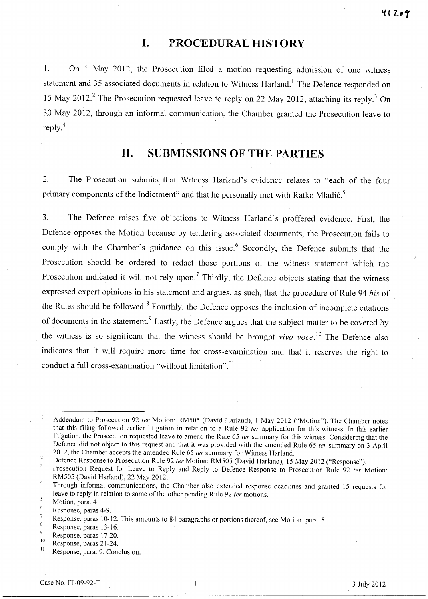## **I. PROCEDURAL HISTORY**

1. On 1 May 2012, the Prosecution filed a motion requesting admission of one witness statement and 35 associated documents in relation to Witness Harland.<sup>1</sup> The Defence responded on 15 May 2012.<sup>2</sup> The Prosecution requested leave to reply on 22 May 2012, attaching its reply.<sup>3</sup> On 30 May 2012, through an informal communication, the Chamber granted the Prosecution leave to reply.4

# **11. SUBMISSIONS OF THE PARTIES**

2. The Prosecution submits that Witness Harland's evidence relates to "each of the four , primary components of the Indictment" and that he personally met with Ratko Mladić.<sup>5</sup>

3. The Defence raises five objections to Witness Harland's proffered evidence. First, the Defence opposes the Motion because by tendering associated documents, the Prosecution fails to comply with the Chamber's guidance on this issue.<sup>6</sup> Secondly, the Defence submits that the Prosecution should be ordered to redact those portions of the witness statement which the Prosecution indicated it will not rely upon.<sup>7</sup> Thirdly, the Defence objects stating that the witness expressed expert opinions in his statement and argues, as such, that the procedure of Rule 94 *bis* of the Rules should be followed.<sup>8</sup> Fourthly, the Defence opposes the inclusion of incomplete citations of documents in the statement.<sup>9</sup> Lastly, the Defence argues that the subject matter to be covered by the witness is so significant that the witness should be brought *viva voce*.<sup>10</sup> The Defence also indicates that it will require more time for cross-examination and that it reserves the right to conduct a full cross-examination "without limitation". 11

Addendum to Prosecution 92 ter Motion: RM505 (David Harland), 1 May 2012 ("Motion"). The Chamber notes that this filing followed earlier litigation in relation to a Rule 92 ter application for this witness. In this earlier litigation, the Prosecution requested leave to amend the Rule 65 ter summary for this witness. Considering that the Defence did not object to this request and that it was provided with the amended Rule 65 fer summary on 3 April 2012, the Chamber accepts the amended Rule 65 ter summary for Witness Harland.

 $\overline{2}$ Defence Response to Prosecution Rule 92 ter Motion: RM505 (David Harland), 15 May 2012 ("Response").

 $\overline{\mathbf{3}}$ Prosecution Request for Leave to Reply and Reply to Defence Response to Prosecution Rule 92 ter Motion: RM505 (David Harland), 22 May 2012.

<sup>&</sup>lt;sup>4</sup> Through informal communications, the Chamber also extended response deadlines and granted 15 requests for leave to reply in relation to some of the other pending Rule 92 ter motions.

<sup>5</sup> Motion, para. 4.

 $\frac{6}{7}$  Response, paras 4-9.

Response, paras 10-12. This amounts to 84 paragraphs or portions thereof, see Motion, para. 8.

 $\overline{\mathbf{8}}$ Response, paras 13-16.

 $^{9}$  Response, paras 17-20.

 $^{10}$  Response, paras 21-24.

Response, para. 9, Conclusion.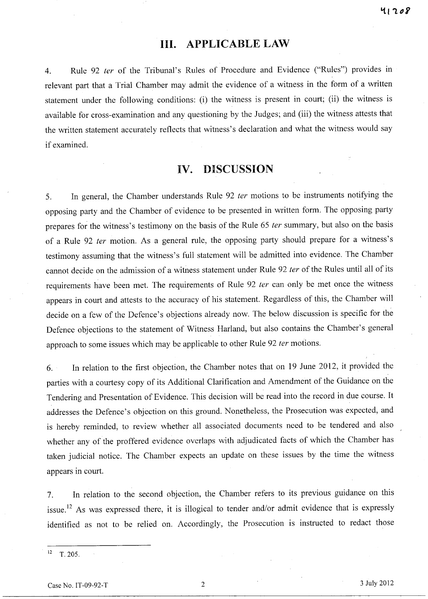## **Ill. APPLICABLE LAW**

4. Rule 92 fer of the Tribunal's Rules of Procedure and Evidence ("Rules") provides in relevant part that a Trial Chamber may admit the evidence of a witness in the form of a written statement under the following conditions: (i) the witness is present in court; (ii) the witness is available for cross-examination and any questioning by the Judges; and (iii) the witness attests that the written statement accurately reflects that witness's declaration and what the witness would say if examined.

## **IV. DISCUSSION**

5. In general, the Chamber understands Rule 92 fer motions to be instruments notifying the opposing party and the Chamber of evidence to be presented in written form. The opposing party prepares for the witness's testimony on the basis of the Rule 65 ter summary, but also on the basis of a Rule 92 fer motion. As a general rule, the opposing party should prepare for a witness's testimony assuming that the witness's full statement will be admitted into evidence. The Chamber cannot decide on the admission of a witness statement under Rule 92 ter of the Rules until all of its requirements have been met. The requirements of Rule 92 ter can only be met once the witness appears in court and attests to the accuracy of his statement. Regardless of this, the Chamber will decide on a few of the Defence's objections already now. The below discussion is specific for the Defence objections to the statement of Witness Harland, but also contains the Chamber's general approach to some issues which may be applicable to other Rule 92 ter motions.

6. In relation to the first objection, the Chamber notes that on 19 June 2012, it provided the parties with a courtesy copy of its Additional Clarification and Amendment of the Guidance on the Tendering and Presentation of Evidence. This decision will be read into the record in due course. It addresses the Defence's objection on this ground. Nonetheless, the Prosecution was expected, and is hereby reminded, to review whether all associated documents need to be tendered and also whether any of the proffered evidence overlaps with adjudicated facts of which the Chamber has taken judicial notice. The Chamber expects an update on these issues by the time the witness appears in court.

7. In relation to the second objection, the Chamber refers to its previous guidance on this issue.<sup>12</sup> As was expressed there, it is illogical to tender and/or admit evidence that is expressly identified as not to be relied on. Accordingly, the Prosecution is instructed to redact those

 $12$  T. 205.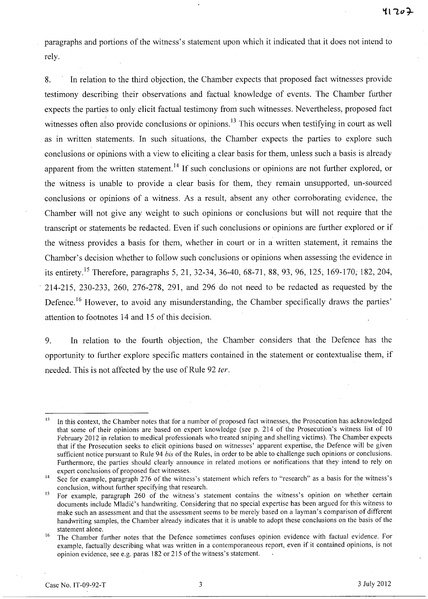paragraphs and portions of the witness's statement upon which it indicated that it does not intend to rely.

8. In relation to the third objection, the Chamber expects that proposed fact witnesses provide testimony describing their observations and factual knowledge of events. The Chamber further expects the parties to only elicit factual testimony from such witnesses. Nevertheless, proposed fact witnesses often also provide conclusions or opinions.<sup>13</sup> This occurs when testifying in court as well as in written statements. In such situations, the Chamber expects the parties to explore such conclusions or opinions with a view to eliciting a clear basis for them, unless such a basis is already apparent from the written statement.<sup>14</sup> If such conclusions or opinions are not further explored, or the witness is unable to provide a clear basis for them, they remain unsupported, un-sourced conclusions or opinions of a witness. As a result, absent any other corroborating evidence, the Chamber will not give any weight to such opinions or conclusions but will not require that the transcript or statements be redacted. Even if such conclusions or opinions are further explored or if the witness provides a basis for them, whether in court or in a written statement, .it remains the Chamber's decision whether to follow such conclusions or opinions when assessing the evidence in its entirety.<sup>15</sup> Therefore, paragraphs 5, 21, 32-34, 36-40, 68-71, 88, 93, 96, 125, 169-170, 182, 204, 214-215, 230-233, 260, 276-278, 291, and 296 do not need to be redacted as requested by the Defence.<sup>16</sup> However, to avoid any misunderstanding, the Chamber specifically draws the parties' attention to footnotes 14 and 15 of this decision.

9. In relation to the fourth objection, the Chamber considers that the Defence has the opportunity to' further explore specific matters contained in the statement or contextualise them, if needed. This is not affected by the use of Rule 92 *ter.* 

<sup>&</sup>lt;sup>13</sup> In this context, the Chamber notes that for a number of proposed fact witnesses, the Prosecution has acknowledged that some of their opinions are based on expert knowledge (see p. 214 of the Prosecution's witness list of 10 February 2012 in relation to medical professionals who treated sniping and shelling victims). The Chamber expects that if the Prosecution seeks to elicit opinions based on witnesses' apparent expertise, the Defence will be given sufficient notice pursuant to Rule 94 *bis* of the Rules, in order to be able to challenge such opinions or conclusions. Furthermore, the parties should clearly announce in related motions or notifications that they intend to rely on expert conclusions of proposed fact witnesses,

<sup>&</sup>lt;sup>14</sup> See for example, paragraph 276 of the witness's statement which refers to "research" as a basis for the witness's conclusion, without further specifying that research, .

<sup>&</sup>lt;sup>15</sup> For example, paragraph 260 of the witness's statement contains the witness's opinion on whether certain documents include Mladic's handwriting. Considering that no special expertise has been argued for this witness to make such an assessment and that the assessment seems to be merely based on a layman's comparison of different handwriting samples, the Chamber already indicates that it is unable to adopt these conclusions on the basis of the statement alone.

<sup>&</sup>lt;sup>16</sup> The Chamber further notes that the Defence sometimes confuses opinion evidence with factual evidence. For example, factually describing what was written in a contemporaneous report, even if it contained opinions, is not opinion evidence, see e.g. paras 182 or 215 of the witness's statement.